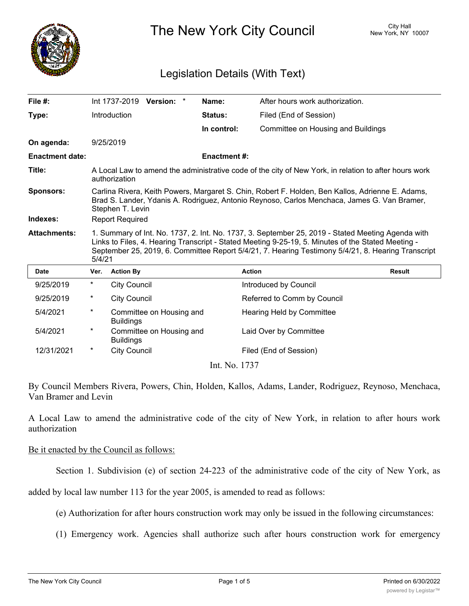

The New York City Council New York, NY 10007

## Legislation Details (With Text)

| File $#$ :             |                                                                                                                                                                                                                                                                                                                         |                     | Int 1737-2019 Version: * |  | Name:               | After hours work authorization.    |               |
|------------------------|-------------------------------------------------------------------------------------------------------------------------------------------------------------------------------------------------------------------------------------------------------------------------------------------------------------------------|---------------------|--------------------------|--|---------------------|------------------------------------|---------------|
| Type:                  |                                                                                                                                                                                                                                                                                                                         | Introduction        |                          |  | <b>Status:</b>      | Filed (End of Session)             |               |
|                        |                                                                                                                                                                                                                                                                                                                         |                     |                          |  | In control:         | Committee on Housing and Buildings |               |
| On agenda:             |                                                                                                                                                                                                                                                                                                                         | 9/25/2019           |                          |  |                     |                                    |               |
| <b>Enactment date:</b> |                                                                                                                                                                                                                                                                                                                         |                     |                          |  | <b>Enactment #:</b> |                                    |               |
| Title:                 | A Local Law to amend the administrative code of the city of New York, in relation to after hours work<br>authorization                                                                                                                                                                                                  |                     |                          |  |                     |                                    |               |
| <b>Sponsors:</b>       | Carlina Rivera, Keith Powers, Margaret S. Chin, Robert F. Holden, Ben Kallos, Adrienne E. Adams,<br>Brad S. Lander, Ydanis A. Rodriguez, Antonio Reynoso, Carlos Menchaca, James G. Van Bramer,<br>Stephen T. Levin                                                                                                     |                     |                          |  |                     |                                    |               |
| Indexes:               | <b>Report Required</b>                                                                                                                                                                                                                                                                                                  |                     |                          |  |                     |                                    |               |
| <b>Attachments:</b>    | 1. Summary of Int. No. 1737, 2. Int. No. 1737, 3. September 25, 2019 - Stated Meeting Agenda with<br>Links to Files, 4. Hearing Transcript - Stated Meeting 9-25-19, 5. Minutes of the Stated Meeting -<br>September 25, 2019, 6. Committee Report 5/4/21, 7. Hearing Testimony 5/4/21, 8. Hearing Transcript<br>5/4/21 |                     |                          |  |                     |                                    |               |
| <b>Date</b>            | Ver.                                                                                                                                                                                                                                                                                                                    | <b>Action By</b>    |                          |  |                     | <b>Action</b>                      | <b>Result</b> |
| 9/25/2019              | $^\star$                                                                                                                                                                                                                                                                                                                | <b>City Council</b> |                          |  |                     | Introduced by Council              |               |
| 9/25/2019              | $^\star$                                                                                                                                                                                                                                                                                                                | <b>City Council</b> |                          |  |                     | Referred to Comm by Council        |               |
| 5/4/2021               | $^\star$                                                                                                                                                                                                                                                                                                                | <b>Buildings</b>    | Committee on Housing and |  |                     | <b>Hearing Held by Committee</b>   |               |
| 5/4/2021               | $^\star$                                                                                                                                                                                                                                                                                                                | <b>Buildings</b>    | Committee on Housing and |  |                     | Laid Over by Committee             |               |
| 12/31/2021             | *                                                                                                                                                                                                                                                                                                                       | <b>City Council</b> |                          |  |                     | Filed (End of Session)             |               |
|                        |                                                                                                                                                                                                                                                                                                                         |                     |                          |  | Int. No. 1737       |                                    |               |

By Council Members Rivera, Powers, Chin, Holden, Kallos, Adams, Lander, Rodriguez, Reynoso, Menchaca, Van Bramer and Levin

A Local Law to amend the administrative code of the city of New York, in relation to after hours work authorization

## Be it enacted by the Council as follows:

Section 1. Subdivision (e) of section 24-223 of the administrative code of the city of New York, as

added by local law number 113 for the year 2005, is amended to read as follows:

(e) Authorization for after hours construction work may only be issued in the following circumstances:

(1) Emergency work. Agencies shall authorize such after hours construction work for emergency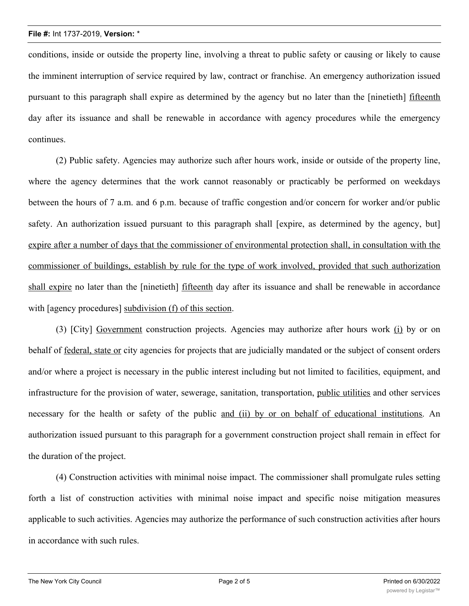conditions, inside or outside the property line, involving a threat to public safety or causing or likely to cause the imminent interruption of service required by law, contract or franchise. An emergency authorization issued pursuant to this paragraph shall expire as determined by the agency but no later than the [ninetieth] fifteenth day after its issuance and shall be renewable in accordance with agency procedures while the emergency continues.

(2) Public safety. Agencies may authorize such after hours work, inside or outside of the property line, where the agency determines that the work cannot reasonably or practicably be performed on weekdays between the hours of 7 a.m. and 6 p.m. because of traffic congestion and/or concern for worker and/or public safety. An authorization issued pursuant to this paragraph shall [expire, as determined by the agency, but] expire after a number of days that the commissioner of environmental protection shall, in consultation with the commissioner of buildings, establish by rule for the type of work involved, provided that such authorization shall expire no later than the [ninetieth] fifteenth day after its issuance and shall be renewable in accordance with [agency procedures] subdivision (f) of this section.

(3) [City] Government construction projects. Agencies may authorize after hours work (i) by or on behalf of federal, state or city agencies for projects that are judicially mandated or the subject of consent orders and/or where a project is necessary in the public interest including but not limited to facilities, equipment, and infrastructure for the provision of water, sewerage, sanitation, transportation, public utilities and other services necessary for the health or safety of the public and (ii) by or on behalf of educational institutions. An authorization issued pursuant to this paragraph for a government construction project shall remain in effect for the duration of the project.

(4) Construction activities with minimal noise impact. The commissioner shall promulgate rules setting forth a list of construction activities with minimal noise impact and specific noise mitigation measures applicable to such activities. Agencies may authorize the performance of such construction activities after hours in accordance with such rules.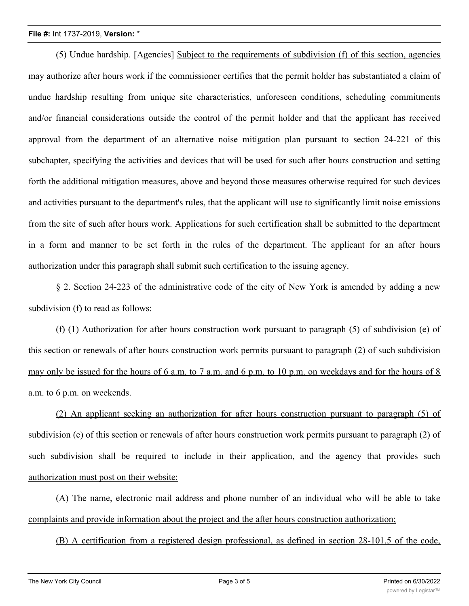## **File #:** Int 1737-2019, **Version:** \*

(5) Undue hardship. [Agencies] Subject to the requirements of subdivision (f) of this section, agencies may authorize after hours work if the commissioner certifies that the permit holder has substantiated a claim of undue hardship resulting from unique site characteristics, unforeseen conditions, scheduling commitments and/or financial considerations outside the control of the permit holder and that the applicant has received approval from the department of an alternative noise mitigation plan pursuant to section 24-221 of this subchapter, specifying the activities and devices that will be used for such after hours construction and setting forth the additional mitigation measures, above and beyond those measures otherwise required for such devices and activities pursuant to the department's rules, that the applicant will use to significantly limit noise emissions from the site of such after hours work. Applications for such certification shall be submitted to the department in a form and manner to be set forth in the rules of the department. The applicant for an after hours authorization under this paragraph shall submit such certification to the issuing agency.

§ 2. Section 24-223 of the administrative code of the city of New York is amended by adding a new subdivision (f) to read as follows:

(f) (1) Authorization for after hours construction work pursuant to paragraph (5) of subdivision (e) of this section or renewals of after hours construction work permits pursuant to paragraph (2) of such subdivision may only be issued for the hours of 6 a.m. to 7 a.m. and 6 p.m. to 10 p.m. on weekdays and for the hours of 8 a.m. to 6 p.m. on weekends.

(2) An applicant seeking an authorization for after hours construction pursuant to paragraph (5) of subdivision (e) of this section or renewals of after hours construction work permits pursuant to paragraph (2) of such subdivision shall be required to include in their application, and the agency that provides such authorization must post on their website:

(A) The name, electronic mail address and phone number of an individual who will be able to take complaints and provide information about the project and the after hours construction authorization;

(B) A certification from a registered design professional, as defined in section 28-101.5 of the code,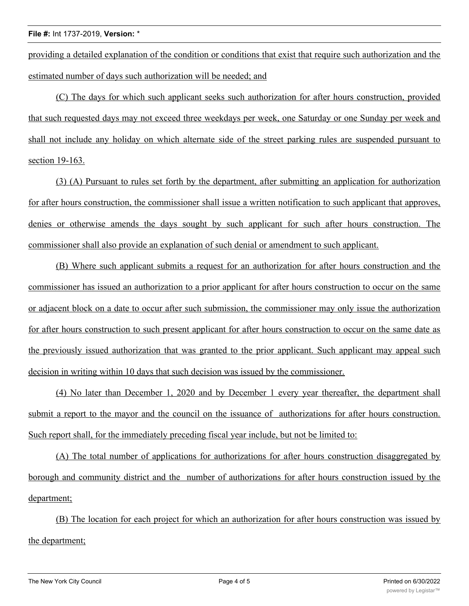providing a detailed explanation of the condition or conditions that exist that require such authorization and the estimated number of days such authorization will be needed; and

(C) The days for which such applicant seeks such authorization for after hours construction, provided that such requested days may not exceed three weekdays per week, one Saturday or one Sunday per week and shall not include any holiday on which alternate side of the street parking rules are suspended pursuant to section 19-163.

(3) (A) Pursuant to rules set forth by the department, after submitting an application for authorization for after hours construction, the commissioner shall issue a written notification to such applicant that approves, denies or otherwise amends the days sought by such applicant for such after hours construction. The commissioner shall also provide an explanation of such denial or amendment to such applicant.

(B) Where such applicant submits a request for an authorization for after hours construction and the commissioner has issued an authorization to a prior applicant for after hours construction to occur on the same or adjacent block on a date to occur after such submission, the commissioner may only issue the authorization for after hours construction to such present applicant for after hours construction to occur on the same date as the previously issued authorization that was granted to the prior applicant. Such applicant may appeal such decision in writing within 10 days that such decision was issued by the commissioner.

(4) No later than December 1, 2020 and by December 1 every year thereafter, the department shall submit a report to the mayor and the council on the issuance of authorizations for after hours construction. Such report shall, for the immediately preceding fiscal year include, but not be limited to:

(A) The total number of applications for authorizations for after hours construction disaggregated by borough and community district and the number of authorizations for after hours construction issued by the department;

(B) The location for each project for which an authorization for after hours construction was issued by the department;